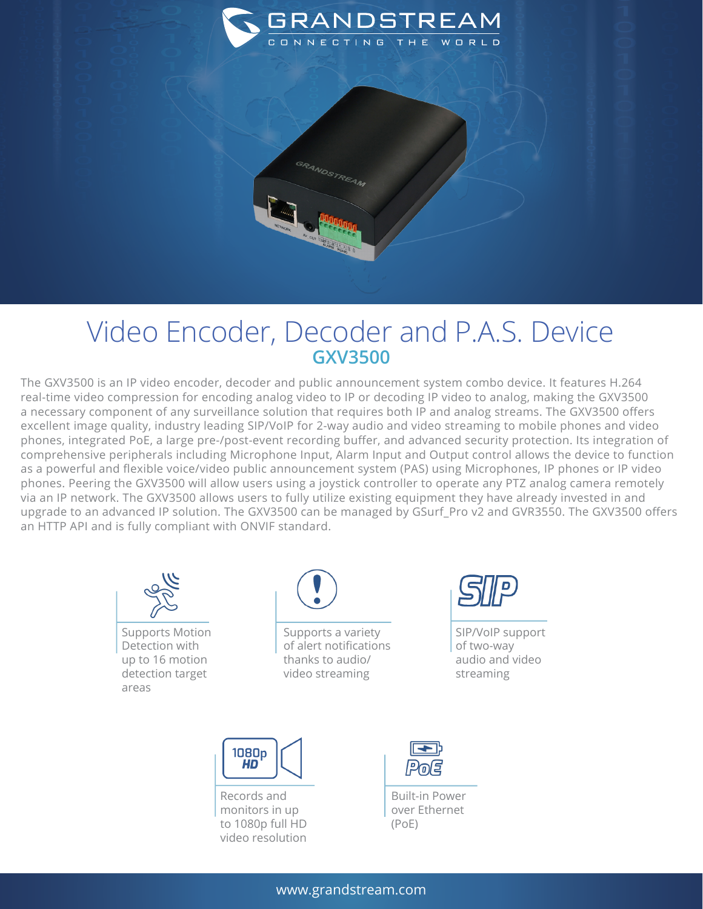

## Video Encoder, Decoder and P.A.S. Device **GXV3500**

The GXV3500 is an IP video encoder, decoder and public announcement system combo device. It features H.264 real-time video compression for encoding analog video to IP or decoding IP video to analog, making the GXV3500 a necessary component of any surveillance solution that requires both IP and analog streams. The GXV3500 offers excellent image quality, industry leading SIP/VoIP for 2-way audio and video streaming to mobile phones and video phones, integrated PoE, a large pre-/post-event recording buffer, and advanced security protection. Its integration of comprehensive peripherals including Microphone Input, Alarm Input and Output control allows the device to function as a powerful and flexible voice/video public announcement system (PAS) using Microphones, IP phones or IP video phones. Peering the GXV3500 will allow users using a joystick controller to operate any PTZ analog camera remotely via an IP network. The GXV3500 allows users to fully utilize existing equipment they have already invested in and upgrade to an advanced IP solution. The GXV3500 can be managed by GSurf\_Pro v2 and GVR3550. The GXV3500 offers an HTTP API and is fully compliant with ONVIF standard.